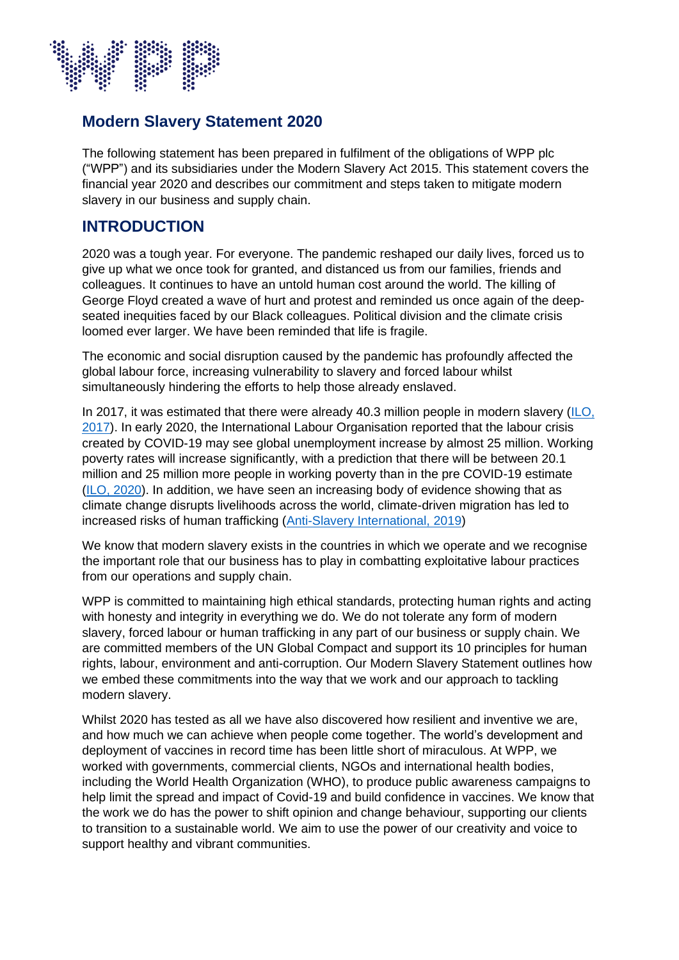

### **Modern Slavery Statement 2020**

The following statement has been prepared in fulfilment of the obligations of WPP plc ("WPP") and its subsidiaries under the Modern Slavery Act 2015. This statement covers the financial year 2020 and describes our commitment and steps taken to mitigate modern slavery in our business and supply chain.

### **INTRODUCTION**

2020 was a tough year. For everyone. The pandemic reshaped our daily lives, forced us to give up what we once took for granted, and distanced us from our families, friends and colleagues. It continues to have an untold human cost around the world. The killing of George Floyd created a wave of hurt and protest and reminded us once again of the deepseated inequities faced by our Black colleagues. Political division and the climate crisis loomed ever larger. We have been reminded that life is fragile.

The economic and social disruption caused by the pandemic has profoundly affected the global labour force, increasing vulnerability to slavery and forced labour whilst simultaneously hindering the efforts to help those already enslaved.

In 2017, it was estimated that there were already 40.3 million people in modern slavery (ILO, [2017\)](http://www.ilo.org/global/topics/forced-labour/lang--en/index.htm). In early 2020, the International Labour Organisation reported that the labour crisis created by COVID-19 may see global unemployment increase by almost 25 million. Working poverty rates will increase significantly, with a prediction that there will be between 20.1 million and 25 million more people in working poverty than in the pre COVID-19 estimate [\(ILO, 2020\)](https://www.ilo.org/global/about-the-ilo/newsroom/news/WCMS_738742/lang--en/index.htm). In addition, we have seen an increasing body of evidence showing that as climate change disrupts livelihoods across the world, climate-driven migration has led to increased risks of human trafficking [\(Anti-Slavery International, 2019\)](https://www.antislavery.org/climate-change-slavery/)

We know that modern slavery exists in the countries in which we operate and we recognise the important role that our business has to play in combatting exploitative labour practices from our operations and supply chain.

WPP is committed to maintaining high ethical standards, protecting human rights and acting with honesty and integrity in everything we do. We do not tolerate any form of modern slavery, forced labour or human trafficking in any part of our business or supply chain. We are committed members of the UN Global Compact and support its 10 principles for human rights, labour, environment and anti-corruption. Our Modern Slavery Statement outlines how we embed these commitments into the way that we work and our approach to tackling modern slavery.

Whilst 2020 has tested as all we have also discovered how resilient and inventive we are, and how much we can achieve when people come together. The world's development and deployment of vaccines in record time has been little short of miraculous. At WPP, we worked with governments, commercial clients, NGOs and international health bodies, including the World Health Organization (WHO), to produce public awareness campaigns to help limit the spread and impact of Covid-19 and build confidence in vaccines. We know that the work we do has the power to shift opinion and change behaviour, supporting our clients to transition to a sustainable world. We aim to use the power of our creativity and voice to support healthy and vibrant communities.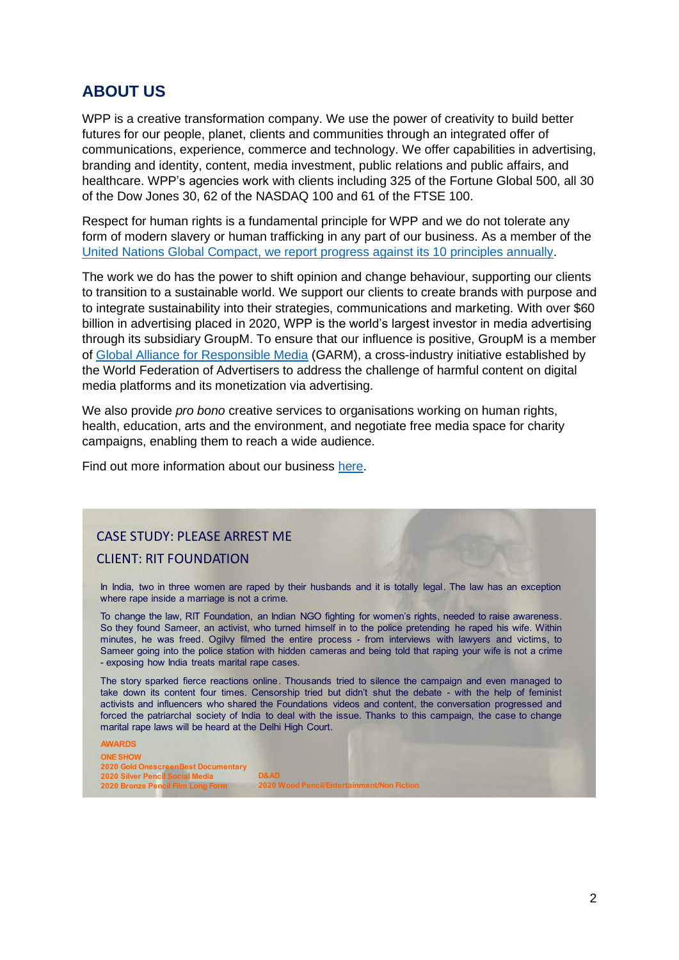## **ABOUT US**

WPP is a creative transformation company. We use the power of creativity to build better futures for our people, planet, clients and communities through an integrated offer of communications, experience, commerce and technology. We offer capabilities in advertising, branding and identity, content, media investment, public relations and public affairs, and healthcare. WPP's agencies work with clients including 325 of the Fortune Global 500, all 30 of the Dow Jones 30, 62 of the NASDAQ 100 and 61 of the FTSE 100.

Respect for human rights is a fundamental principle for WPP and we do not tolerate any form of modern slavery or human trafficking in any part of our business. As a member of the [United Nations Global Compact,](https://www.unglobalcompact.org/) we [report progress against its 10 principles annually.](https://www.wpp.com/sustainability/sustainability-report-2020)

The work we do has the power to shift opinion and change behaviour, supporting our clients to transition to a sustainable world. We support our clients to create brands with purpose and to integrate sustainability into their strategies, communications and marketing. With over \$60 billion in advertising placed in 2020, WPP is the world's largest investor in media advertising through its subsidiary GroupM. To ensure that our influence is positive, GroupM is a member of [Global Alliance for Responsible Media](https://wfanet.org/leadership/garm/about-garm) (GARM), a cross-industry initiative established by the World Federation of Advertisers to address the challenge of harmful content on digital media platforms and its monetization via advertising.

We also provide *pro bono* creative services to organisations working on human rights, health, education, arts and the environment, and negotiate free media space for charity campaigns, enabling them to reach a wide audience.

Find out more information about our business [here.](https://www.wpp.com/about/our-offer-to-clients)

# CAS

**CLIENT: RIT FOUNDATION** 

In India, two in three women are raped by their husbands and it is totally legal. The law has an exception where rape inside <sup>a</sup> marriage is not <sup>a</sup> crime.

To change the law, RIT Foundation, an Indian NGO fighting for women's rights, needed to raise awareness. So they found Sameer, an activist, who turned himself in to the police pretending he raped his wife. Within minutes, he was freed. Ogilvy filmed the entire process - from interviews with lawyers and victims, to Sameer going into the police station with hidden cameras and being told that raping your wife is not a crime - exposing how India treats marital rape cases.

The story sparked fierce reactions online. Thousands tried to silence the campaign and even managed to take down its content four times. Censorship tried but didn't shut the debate - with the help of feminist activists and influencers who shared the Foundations videos and content, the conversation progressed and forced the patriarchal society of India to deal with the issue. Thanks to this campaign, the case to change marital rape laws will be heard at the Delhi High Court.

#### **AWARDS ONE SHOW 2020 Gold OnescreenBest Documentary 2020 Wood Pencil/Entertainment/Non Fiction**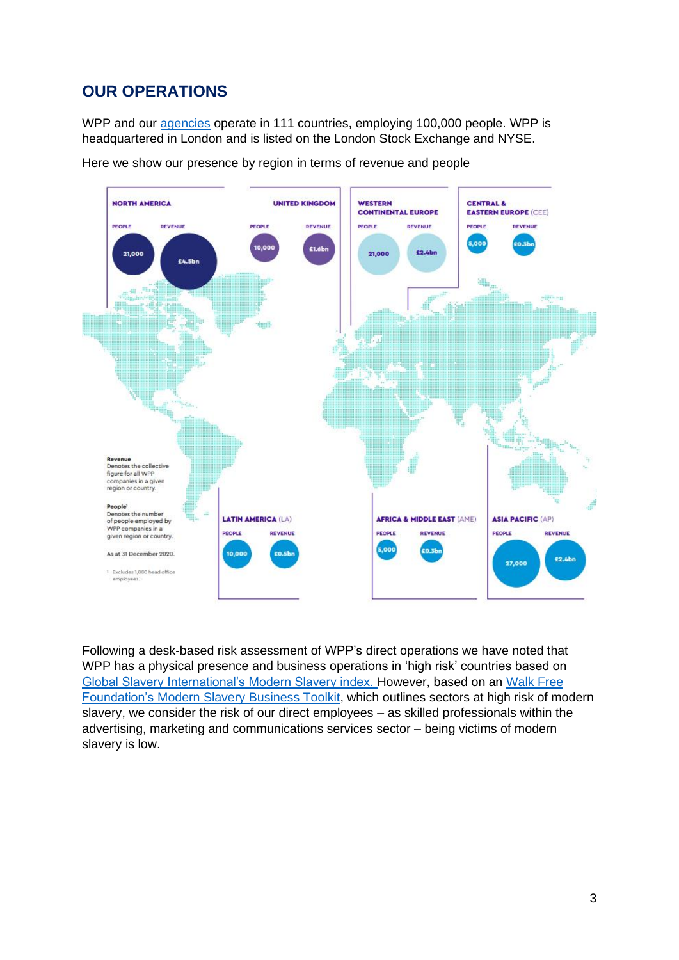# **OUR OPERATIONS**

WPP and our [agencies](https://www.wpp.com/Contacts) operate in 111 countries, employing 100,000 people. WPP is headquartered in London and is listed on the London Stock Exchange and NYSE.



Here we show our presence by region in terms of revenue and people

Following a desk-based risk assessment of WPP's direct operations we have noted that WPP has a physical presence and business operations in 'high risk' countries based on Global Slavery International's Modern Slavery index. However, based on an Walk Free Foundation's Modern Slavery Business Toolkit, which outlines sectors at high risk of modern slavery, we consider the risk of our direct employees – as skilled professionals within the advertising, marketing and communications services sector – being victims of modern slavery is low.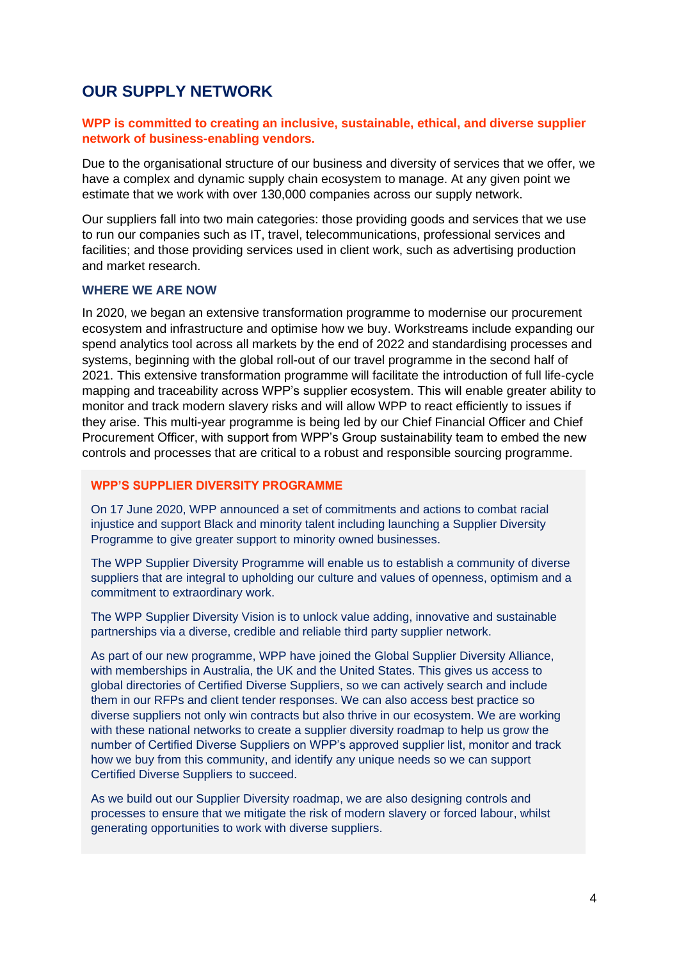### **OUR SUPPLY NETWORK**

### **WPP is committed to creating an inclusive, sustainable, ethical, and diverse supplier network of business-enabling vendors.**

Due to the organisational structure of our business and diversity of services that we offer, we have a complex and dynamic supply chain ecosystem to manage. At any given point we estimate that we work with over 130,000 companies across our supply network.

Our suppliers fall into two main categories: those providing goods and services that we use to run our companies such as IT, travel, telecommunications, professional services and facilities; and those providing services used in client work, such as advertising production and market research.

#### **WHERE WE ARE NOW**

In 2020, we began an extensive transformation programme to modernise our procurement ecosystem and infrastructure and optimise how we buy. Workstreams include expanding our spend analytics tool across all markets by the end of 2022 and standardising processes and systems, beginning with the global roll-out of our travel programme in the second half of 2021. This extensive transformation programme will facilitate the introduction of full life-cycle mapping and traceability across WPP's supplier ecosystem. This will enable greater ability to monitor and track modern slavery risks and will allow WPP to react efficiently to issues if they arise. This multi-year programme is being led by our Chief Financial Officer and Chief Procurement Officer, with support from WPP's Group sustainability team to embed the new controls and processes that are critical to a robust and responsible sourcing programme.

#### **WPP'S SUPPLIER DIVERSITY PROGRAMME**

On 17 June 2020, WPP announced a set of commitments and actions to combat racial injustice and support Black and minority talent including launching a Supplier Diversity Programme to give greater support to minority owned businesses.

The WPP Supplier Diversity Programme will enable us to establish a community of diverse suppliers that are integral to upholding our culture and values of openness, optimism and a commitment to extraordinary work.

The WPP Supplier Diversity Vision is to unlock value adding, innovative and sustainable partnerships via a diverse, credible and reliable third party supplier network.

As part of our new programme, WPP have joined the Global Supplier Diversity Alliance, with memberships in Australia, the UK and the United States. This gives us access to global directories of Certified Diverse Suppliers, so we can actively search and include them in our RFPs and client tender responses. We can also access best practice so diverse suppliers not only win contracts but also thrive in our ecosystem. We are working with these national networks to create a supplier diversity roadmap to help us grow the number of Certified Diverse Suppliers on WPP's approved supplier list, monitor and track how we buy from this community, and identify any unique needs so we can support Certified Diverse Suppliers to succeed.

As we build out our Supplier Diversity roadmap, we are also designing controls and processes to ensure that we mitigate the risk of modern slavery or forced labour, whilst generating opportunities to work with diverse suppliers.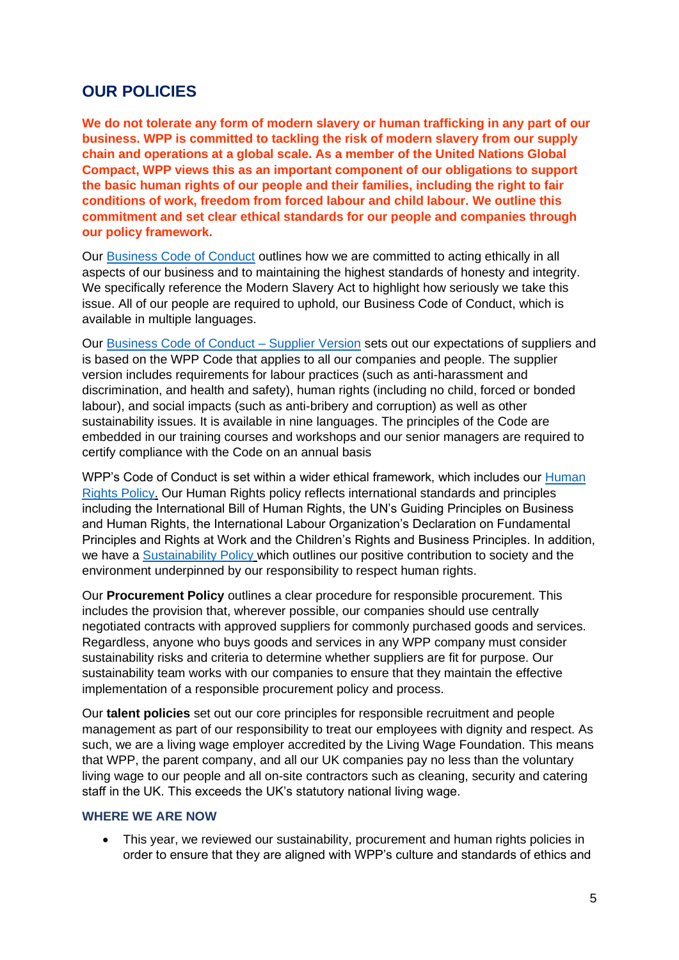### **OUR POLICIES**

**We do not tolerate any form of modern slavery or human trafficking in any part of our business. WPP is committed to tackling the risk of modern slavery from our supply chain and operations at a global scale. As a member of the United Nations Global Compact, WPP views this as an important component of our obligations to support the basic human rights of our people and their families, including the right to fair conditions of work, freedom from forced labour and child labour. We outline this commitment and set clear ethical standards for our people and companies through our policy framework.** 

Our [Business Code of Conduct](https://www.wpp.com/investors/corporate-governance) outlines how we are committed to acting ethically in all aspects of our business and to maintaining the highest standards of honesty and integrity. We specifically reference the Modern Slavery Act to highlight how seriously we take this issue. All of our people are required to uphold, our Business Code of Conduct, which is available in multiple languages.

Our [Business Code of Conduct –](https://www.wpp.com/investors/corporate-governance) Supplier Version sets out our expectations of suppliers and is based on the WPP Code that applies to all our companies and people. The supplier version includes requirements for labour practices (such as anti-harassment and discrimination, and health and safety), human rights (including no child, forced or bonded labour), and social impacts (such as anti-bribery and corruption) as well as other sustainability issues. It is available in nine languages. The principles of the Code are embedded in our training courses and workshops and our senior managers are required to certify compliance with the Code on an annual basis

WPP's Code of Conduct is set within a wider ethical framework, which includes our Human [Rights Policy.](https://www.wpp.com/sustainability/policies-and-resources) Our Human Rights policy reflects international standards and principles including the International Bill of Human Rights, the UN's Guiding Principles on Business and Human Rights, the International Labour Organization's Declaration on Fundamental Principles and Rights at Work and the Children's Rights and Business Principles. In addition, we have a [Sustainability Policy](https://www.wpp.com/investors/corporate-governance) which outlines our positive contribution to society and the environment underpinned by our responsibility to respect human rights.

Our **Procurement Policy** outlines a clear procedure for responsible procurement. This includes the provision that, wherever possible, our companies should use centrally negotiated contracts with approved suppliers for commonly purchased goods and services. Regardless, anyone who buys goods and services in any WPP company must consider sustainability risks and criteria to determine whether suppliers are fit for purpose. Our sustainability team works with our companies to ensure that they maintain the effective implementation of a responsible procurement policy and process.

Our **talent policies** set out our core principles for responsible recruitment and people management as part of our responsibility to treat our employees with dignity and respect. As such, we are a living wage employer accredited by the Living Wage Foundation. This means that WPP, the parent company, and all our UK companies pay no less than the voluntary living wage to our people and all on-site contractors such as cleaning, security and catering staff in the UK. This exceeds the UK's statutory national living wage.

### **WHERE WE ARE NOW**

• This year, we reviewed our sustainability, procurement and human rights policies in order to ensure that they are aligned with WPP's culture and standards of ethics and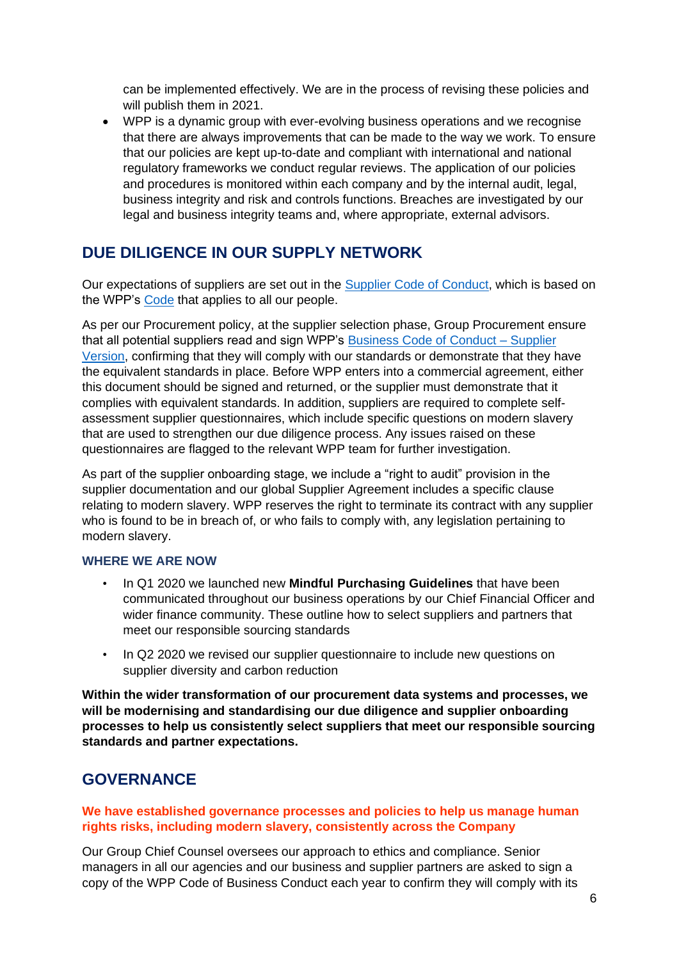can be implemented effectively. We are in the process of revising these policies and will publish them in 2021.

• WPP is a dynamic group with ever-evolving business operations and we recognise that there are always improvements that can be made to the way we work. To ensure that our policies are kept up-to-date and compliant with international and national regulatory frameworks we conduct regular reviews. The application of our policies and procedures is monitored within each company and by the internal audit, legal, business integrity and risk and controls functions. Breaches are investigated by our legal and business integrity teams and, where appropriate, external advisors.

# **DUE DILIGENCE IN OUR SUPPLY NETWORK**

Our expectations of suppliers are set out in the [Supplier Code of Conduct,](https://www.wpp.com/-/media/about/corporate-governance/wpp_code_of_business_conduct_supplier_version.pdf?la=en) which is based on the WPP's [Code](https://www.wpp.com/-/media/about/corporate-governance/wpp_code_of_business_conduct.pdf?la=en) that applies to all our people.

As per our Procurement policy, at the supplier selection phase, Group Procurement ensure that all potential suppliers read and sign WPP's Business Code of Conduct  $-$  Supplier [Version,](https://www.wpp.com/investors/corporate-governance) confirming that they will comply with our standards or demonstrate that they have the equivalent standards in place. Before WPP enters into a commercial agreement, either this document should be signed and returned, or the supplier must demonstrate that it complies with equivalent standards. In addition, suppliers are required to complete selfassessment supplier questionnaires, which include specific questions on modern slavery that are used to strengthen our due diligence process. Any issues raised on these questionnaires are flagged to the relevant WPP team for further investigation.

As part of the supplier onboarding stage, we include a "right to audit" provision in the supplier documentation and our global Supplier Agreement includes a specific clause relating to modern slavery. WPP reserves the right to terminate its contract with any supplier who is found to be in breach of, or who fails to comply with, any legislation pertaining to modern slavery.

### **WHERE WE ARE NOW**

- In Q1 2020 we launched new **Mindful Purchasing Guidelines** that have been communicated throughout our business operations by our Chief Financial Officer and wider finance community. These outline how to select suppliers and partners that meet our responsible sourcing standards
- In Q2 2020 we revised our supplier questionnaire to include new questions on supplier diversity and carbon reduction

**Within the wider transformation of our procurement data systems and processes, we will be modernising and standardising our due diligence and supplier onboarding processes to help us consistently select suppliers that meet our responsible sourcing standards and partner expectations.**

### **GOVERNANCE**

### **We have established governance processes and policies to help us manage human rights risks, including modern slavery, consistently across the Company**

Our Group Chief Counsel oversees our approach to ethics and compliance. Senior managers in all our agencies and our business and supplier partners are asked to sign a copy of the WPP Code of Business Conduct each year to confirm they will comply with its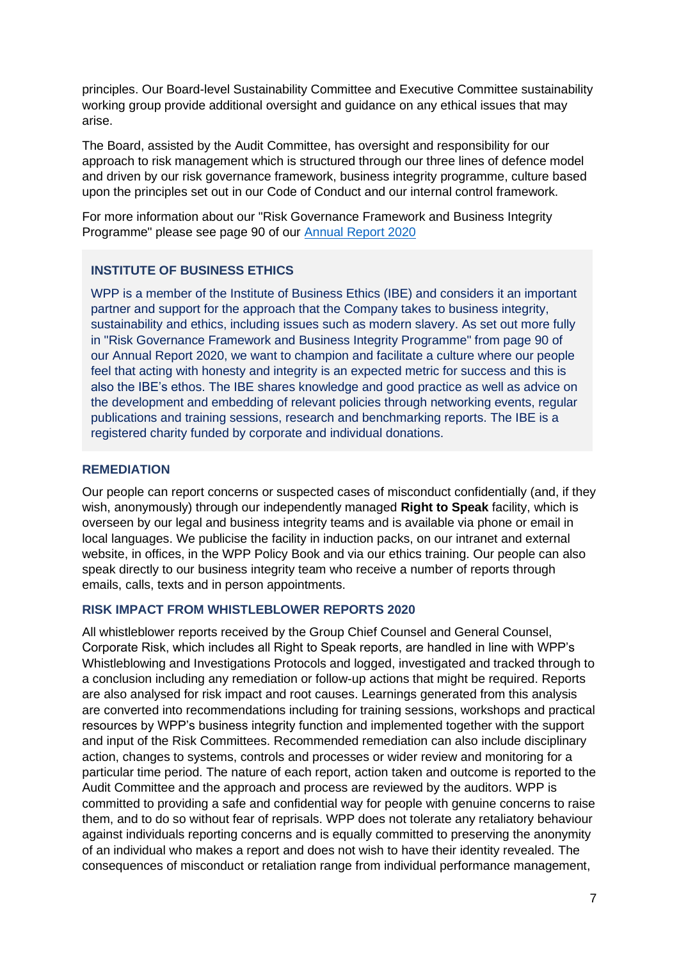principles. Our Board-level Sustainability Committee and Executive Committee sustainability working group provide additional oversight and guidance on any ethical issues that may arise.

The Board, assisted by the Audit Committee, has oversight and responsibility for our approach to risk management which is structured through our three lines of defence model and driven by our risk governance framework, business integrity programme, culture based upon the principles set out in our Code of Conduct and our internal control framework.

For more information about our "Risk Governance Framework and Business Integrity Programme" please see page 90 of our [Annual Report 2020](https://www.wpp.com/investors/annual-report-2020)

### **INSTITUTE OF BUSINESS ETHICS**

WPP is a member of the Institute of Business Ethics (IBE) and considers it an important partner and support for the approach that the Company takes to business integrity, sustainability and ethics, including issues such as modern slavery. As set out more fully in "Risk Governance Framework and Business Integrity Programme" from page 90 of our Annual Report 2020, we want to champion and facilitate a culture where our people feel that acting with honesty and integrity is an expected metric for success and this is also the BE's ethos. The IBE shares knowledge and good practice as well as advice on the development and embedding of relevant policies through networking events, regular publications and training sessions, research and benchmarking reports. The IBE is a registered charity funded by corporate and individual donations.

### **REMEDIATION**

Our people can report concerns or suspected cases of misconduct confidentially (and, if they wish, anonymously) through our independently managed **Right to Speak** facility, which is overseen by our legal and business integrity teams and is available via phone or email in local languages. We publicise the facility in induction packs, on our intranet and external website, in offices, in the WPP Policy Book and via our ethics training. Our people can also speak directly to our business integrity team who receive a number of reports through emails, calls, texts and in person appointments.

### **RISK IMPACT FROM WHISTLEBLOWER REPORTS 2020**

All whistleblower reports received by the Group Chief Counsel and General Counsel, Corporate Risk, which includes all Right to Speak reports, are handled in line with WPP's Whistleblowing and Investigations Protocols and logged, investigated and tracked through to a conclusion including any remediation or follow-up actions that might be required. Reports are also analysed for risk impact and root causes. Learnings generated from this analysis are converted into recommendations including for training sessions, workshops and practical resources by WPP's business integrity function and implemented together with the support and input of the Risk Committees. Recommended remediation can also include disciplinary action, changes to systems, controls and processes or wider review and monitoring for a particular time period. The nature of each report, action taken and outcome is reported to the Audit Committee and the approach and process are reviewed by the auditors. WPP is committed to providing a safe and confidential way for people with genuine concerns to raise them, and to do so without fear of reprisals. WPP does not tolerate any retaliatory behaviour against individuals reporting concerns and is equally committed to preserving the anonymity of an individual who makes a report and does not wish to have their identity revealed. The consequences of misconduct or retaliation range from individual performance management,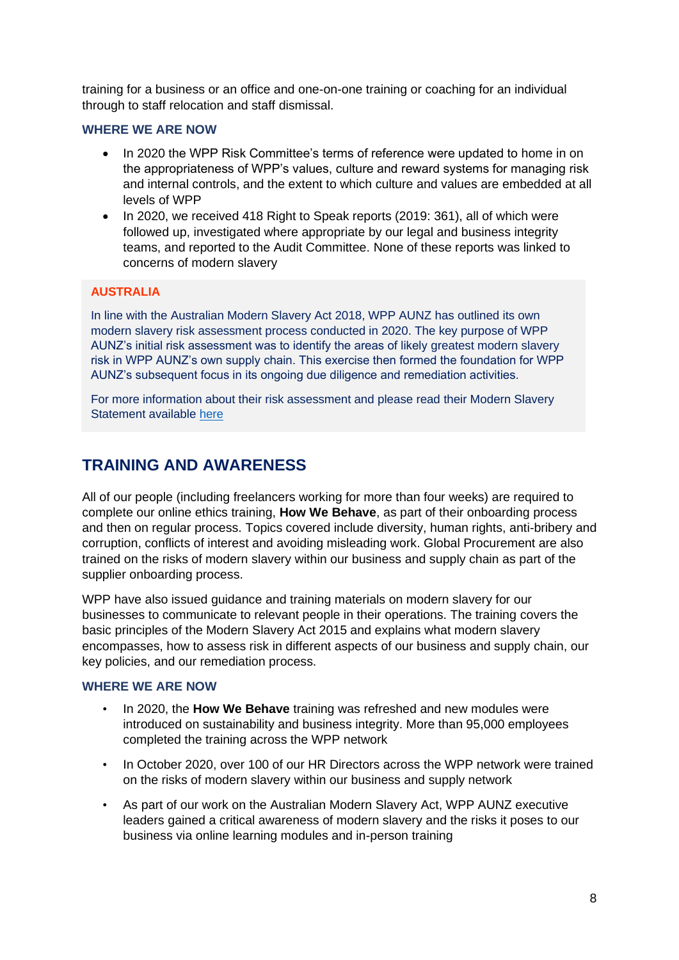training for a business or an office and one-on-one training or coaching for an individual through to staff relocation and staff dismissal.

#### **WHERE WE ARE NOW**

- In 2020 the WPP Risk Committee's terms of reference were updated to home in on the appropriateness of WPP's values, culture and reward systems for managing risk and internal controls, and the extent to which culture and values are embedded at all levels of WPP
- In 2020, we received 418 Right to Speak reports (2019: 361), all of which were followed up, investigated where appropriate by our legal and business integrity teams, and reported to the Audit Committee. None of these reports was linked to concerns of modern slavery

### **AUSTRALIA**

In line with the Australian Modern Slavery Act 2018, WPP AUNZ has outlined its own modern slavery risk assessment process conducted in 2020. The key purpose of WPP AUNZ's initial risk assessment was to identify the areas of likely greatest modern slavery risk in WPP AUNZ's own supply chain. This exercise then formed the foundation for WPP AUNZ's subsequent focus in its ongoing due diligence and remediation activities.

For more information about their risk assessment and please read their Modern Slavery Statement available [here](https://modernslaveryregister.gov.au/)

# **TRAINING AND AWARENESS**

All of our people (including freelancers working for more than four weeks) are required to complete our online ethics training, **How We Behave**, as part of their onboarding process and then on regular process. Topics covered include diversity, human rights, anti-bribery and corruption, conflicts of interest and avoiding misleading work. Global Procurement are also trained on the risks of modern slavery within our business and supply chain as part of the supplier onboarding process.

WPP have also issued guidance and training materials on modern slavery for our businesses to communicate to relevant people in their operations. The training covers the basic principles of the Modern Slavery Act 2015 and explains what modern slavery encompasses, how to assess risk in different aspects of our business and supply chain, our key policies, and our remediation process.

### **WHERE WE ARE NOW**

- In 2020, the **How We Behave** training was refreshed and new modules were introduced on sustainability and business integrity. More than 95,000 employees completed the training across the WPP network
- In October 2020, over 100 of our HR Directors across the WPP network were trained on the risks of modern slavery within our business and supply network
- As part of our work on the Australian Modern Slavery Act, WPP AUNZ executive leaders gained a critical awareness of modern slavery and the risks it poses to our business via online learning modules and in-person training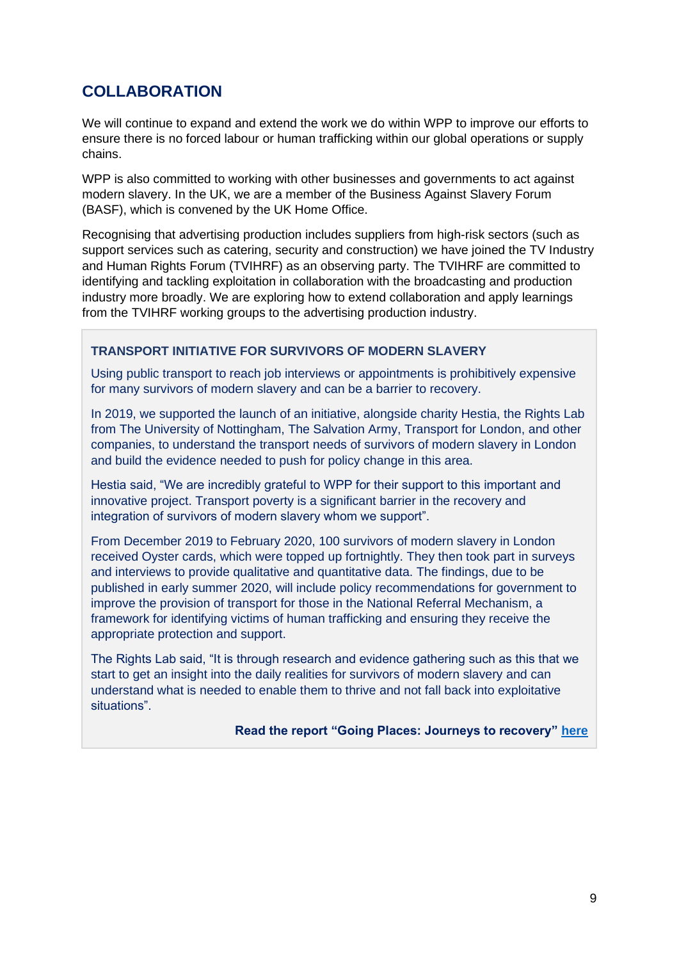# **COLLABORATION**

We will continue to expand and extend the work we do within WPP to improve our efforts to ensure there is no forced labour or human trafficking within our global operations or supply chains.

WPP is also committed to working with other businesses and governments to act against modern slavery. In the UK, we are a member of the Business Against Slavery Forum (BASF), which is convened by the UK Home Office.

Recognising that advertising production includes suppliers from high-risk sectors (such as support services such as catering, security and construction) we have joined the TV Industry and Human Rights Forum (TVIHRF) as an observing party. The TVIHRF are committed to identifying and tackling exploitation in collaboration with the broadcasting and production industry more broadly. We are exploring how to extend collaboration and apply learnings from the TVIHRF working groups to the advertising production industry.

### **TRANSPORT INITIATIVE FOR SURVIVORS OF MODERN SLAVERY**

Using public transport to reach job interviews or appointments is prohibitively expensive for many survivors of modern slavery and can be a barrier to recovery.

In 2019, we supported the launch of an initiative, alongside charity Hestia, the Rights Lab from The University of Nottingham, The Salvation Army, Transport for London, and other companies, to understand the transport needs of survivors of modern slavery in London and build the evidence needed to push for policy change in this area.

Hestia said, "We are incredibly grateful to WPP for their support to this important and innovative project. Transport poverty is a significant barrier in the recovery and integration of survivors of modern slavery whom we support".

From December 2019 to February 2020, 100 survivors of modern slavery in London received Oyster cards, which were topped up fortnightly. They then took part in surveys and interviews to provide qualitative and quantitative data. The findings, due to be published in early summer 2020, will include policy recommendations for government to improve the provision of transport for those in the National Referral Mechanism, a framework for identifying victims of human trafficking and ensuring they receive the appropriate protection and support.

The Rights Lab said, "It is through research and evidence gathering such as this that we start to get an insight into the daily realities for survivors of modern slavery and can understand what is needed to enable them to thrive and not fall back into exploitative situations".

 **Read the report "Going Places: Journeys to recovery" [here](https://www.hestia.org/Handlers/Download.ashx?IDMF=8b0e4084-9188-4f4f-a22e-c9849b59cb5c)**